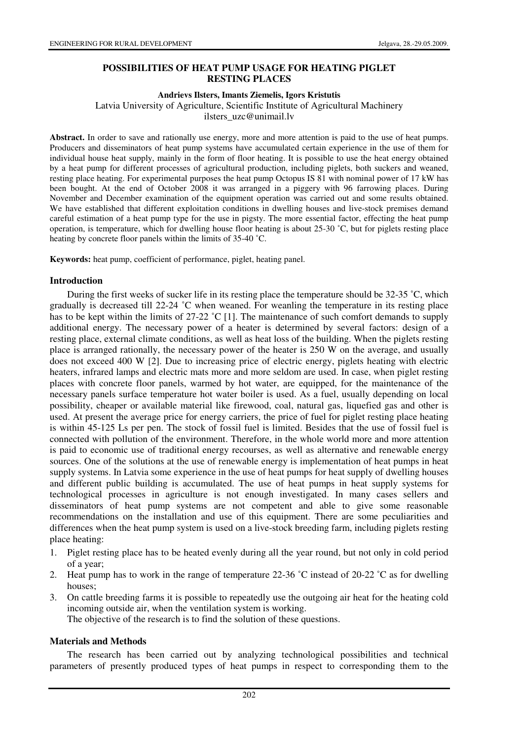# **POSSIBILITIES OF HEAT PUMP USAGE FOR HEATING PIGLET RESTING PLACES**

#### **Andrievs Ilsters, Imants Ziemelis, Igors Kristutis**

Latvia University of Agriculture, Scientific Institute of Agricultural Machinery

ilsters\_uzc@unimail.lv

**Abstract.** In order to save and rationally use energy, more and more attention is paid to the use of heat pumps. Producers and disseminators of heat pump systems have accumulated certain experience in the use of them for individual house heat supply, mainly in the form of floor heating. It is possible to use the heat energy obtained by a heat pump for different processes of agricultural production, including piglets, both suckers and weaned, resting place heating. For experimental purposes the heat pump Octopus IS 81 with nominal power of 17 kW has been bought. At the end of October 2008 it was arranged in a piggery with 96 farrowing places. During November and December examination of the equipment operation was carried out and some results obtained. We have established that different exploitation conditions in dwelling houses and live-stock premises demand careful estimation of a heat pump type for the use in pigsty. The more essential factor, effecting the heat pump operation, is temperature, which for dwelling house floor heating is about 25-30 ˚C, but for piglets resting place heating by concrete floor panels within the limits of 35-40 ˚C.

**Keywords:** heat pump, coefficient of performance, piglet, heating panel.

## **Introduction**

During the first weeks of sucker life in its resting place the temperature should be 32-35 ˚C, which gradually is decreased till 22-24 ˚C when weaned. For weanling the temperature in its resting place has to be kept within the limits of 27-22 °C [1]. The maintenance of such comfort demands to supply additional energy. The necessary power of a heater is determined by several factors: design of a resting place, external climate conditions, as well as heat loss of the building. When the piglets resting place is arranged rationally, the necessary power of the heater is 250 W on the average, and usually does not exceed 400 W [2]. Due to increasing price of electric energy, piglets heating with electric heaters, infrared lamps and electric mats more and more seldom are used. In case, when piglet resting places with concrete floor panels, warmed by hot water, are equipped, for the maintenance of the necessary panels surface temperature hot water boiler is used. As a fuel, usually depending on local possibility, cheaper or available material like firewood, coal, natural gas, liquefied gas and other is used. At present the average price for energy carriers, the price of fuel for piglet resting place heating is within 45-125 Ls per pen. The stock of fossil fuel is limited. Besides that the use of fossil fuel is connected with pollution of the environment. Therefore, in the whole world more and more attention is paid to economic use of traditional energy recourses, as well as alternative and renewable energy sources. One of the solutions at the use of renewable energy is implementation of heat pumps in heat supply systems. In Latvia some experience in the use of heat pumps for heat supply of dwelling houses and different public building is accumulated. The use of heat pumps in heat supply systems for technological processes in agriculture is not enough investigated. In many cases sellers and disseminators of heat pump systems are not competent and able to give some reasonable recommendations on the installation and use of this equipment. There are some peculiarities and differences when the heat pump system is used on a live-stock breeding farm, including piglets resting place heating:

- 1. Piglet resting place has to be heated evenly during all the year round, but not only in cold period of a year;
- 2. Heat pump has to work in the range of temperature 22-36 ˚C instead of 20-22 ˚C as for dwelling houses;
- 3. On cattle breeding farms it is possible to repeatedly use the outgoing air heat for the heating cold incoming outside air, when the ventilation system is working.

The objective of the research is to find the solution of these questions.

## **Materials and Methods**

The research has been carried out by analyzing technological possibilities and technical parameters of presently produced types of heat pumps in respect to corresponding them to the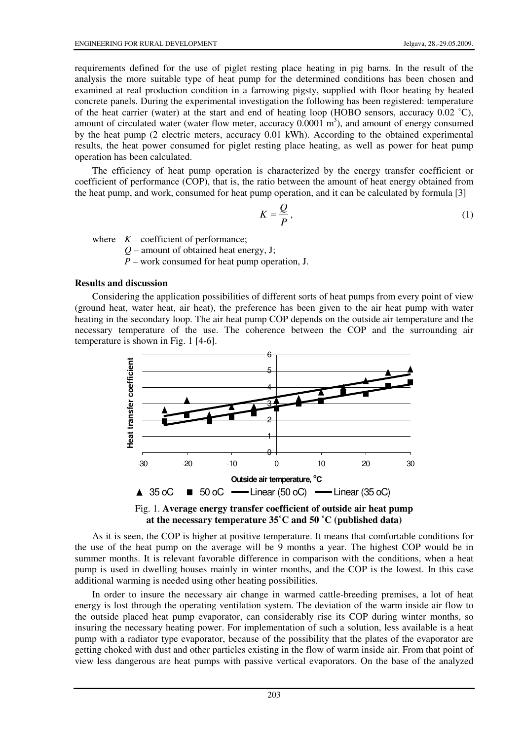requirements defined for the use of piglet resting place heating in pig barns. In the result of the analysis the more suitable type of heat pump for the determined conditions has been chosen and examined at real production condition in a farrowing pigsty, supplied with floor heating by heated concrete panels. During the experimental investigation the following has been registered: temperature of the heat carrier (water) at the start and end of heating loop (HOBO sensors, accuracy 0.02 ˚C), amount of circulated water (water flow meter, accuracy  $0.0001 \text{ m}^3$ ), and amount of energy consumed by the heat pump (2 electric meters, accuracy 0.01 kWh). According to the obtained experimental results, the heat power consumed for piglet resting place heating, as well as power for heat pump operation has been calculated.

The efficiency of heat pump operation is characterized by the energy transfer coefficient or coefficient of performance (COP), that is, the ratio between the amount of heat energy obtained from the heat pump, and work, consumed for heat pump operation, and it can be calculated by formula [3]

$$
K = \frac{Q}{P},\tag{1}
$$

where  $K$  – coefficient of performance;

 $Q$  – amount of obtained heat energy, J;

 *P* – work consumed for heat pump operation, J.

## **Results and discussion**

Considering the application possibilities of different sorts of heat pumps from every point of view (ground heat, water heat, air heat), the preference has been given to the air heat pump with water heating in the secondary loop. The air heat pump COP depends on the outside air temperature and the necessary temperature of the use. The coherence between the COP and the surrounding air temperature is shown in Fig. 1 [4-6].





As it is seen, the COP is higher at positive temperature. It means that comfortable conditions for the use of the heat pump on the average will be 9 months a year. The highest COP would be in summer months. It is relevant favorable difference in comparison with the conditions, when a heat pump is used in dwelling houses mainly in winter months, and the COP is the lowest. In this case additional warming is needed using other heating possibilities.

In order to insure the necessary air change in warmed cattle-breeding premises, a lot of heat energy is lost through the operating ventilation system. The deviation of the warm inside air flow to the outside placed heat pump evaporator, can considerably rise its COP during winter months, so insuring the necessary heating power. For implementation of such a solution, less available is a heat pump with a radiator type evaporator, because of the possibility that the plates of the evaporator are getting choked with dust and other particles existing in the flow of warm inside air. From that point of view less dangerous are heat pumps with passive vertical evaporators. On the base of the analyzed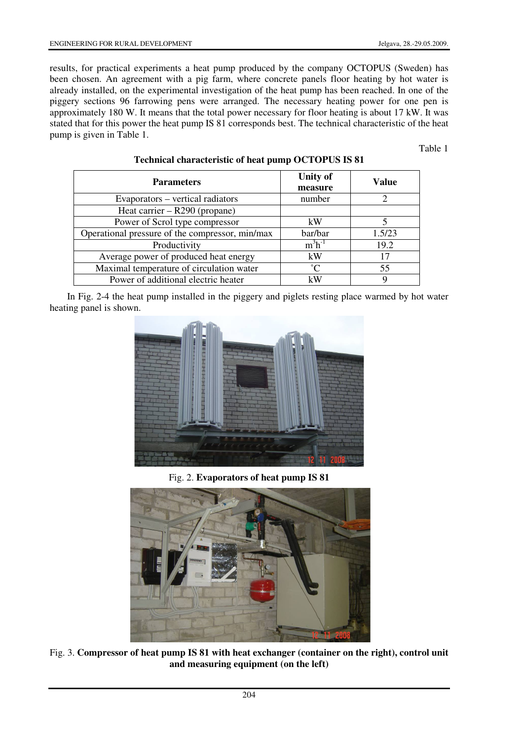results, for practical experiments a heat pump produced by the company OCTOPUS (Sweden) has been chosen. An agreement with a pig farm, where concrete panels floor heating by hot water is already installed, on the experimental investigation of the heat pump has been reached. In one of the piggery sections 96 farrowing pens were arranged. The necessary heating power for one pen is approximately 180 W. It means that the total power necessary for floor heating is about 17 kW. It was stated that for this power the heat pump IS 81 corresponds best. The technical characteristic of the heat pump is given in Table 1.

Table 1

| <b>Parameters</b>                               | <b>Unity of</b><br>measure | Value          |
|-------------------------------------------------|----------------------------|----------------|
| Evaporators – vertical radiators                | number                     | $\mathfrak{D}$ |
| Heat carrier $-$ R290 (propane)                 |                            |                |
| Power of Scrol type compressor                  | kW                         |                |
| Operational pressure of the compressor, min/max | bar/bar                    | 1.5/23         |
| Productivity                                    | $m^3h^{-1}$                | 19.2           |
| Average power of produced heat energy           | kW                         | 17             |
| Maximal temperature of circulation water        | $^{\circ}$ C               | 55             |
| Power of additional electric heater             | kW                         |                |

#### **Technical characteristic of heat pump OCTOPUS IS 81**

In Fig. 2-4 the heat pump installed in the piggery and piglets resting place warmed by hot water heating panel is shown.



Fig. 2. **Evaporators of heat pump IS 81** 



Fig. 3. **Compressor of heat pump IS 81 with heat exchanger (container on the right), control unit and measuring equipment (on the left)**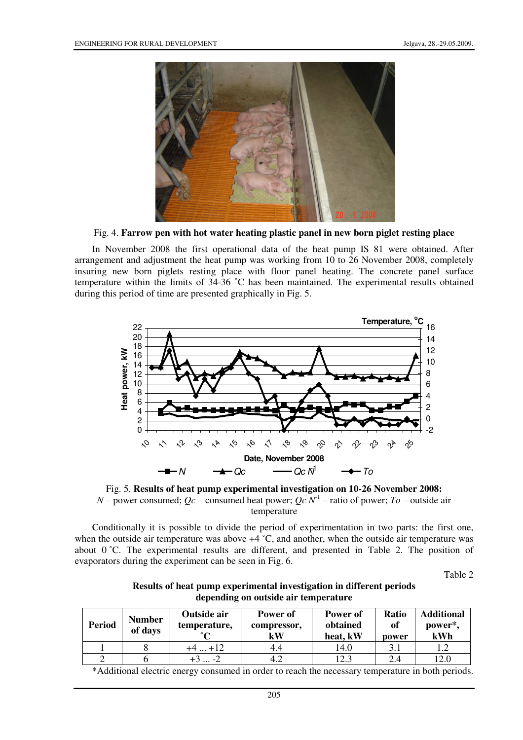

Fig. 4. **Farrow pen with hot water heating plastic panel in new born piglet resting place** 

In November 2008 the first operational data of the heat pump IS 81 were obtained. After arrangement and adjustment the heat pump was working from 10 to 26 November 2008, completely insuring new born piglets resting place with floor panel heating. The concrete panel surface temperature within the limits of 34-36 ˚C has been maintained. The experimental results obtained during this period of time are presented graphically in Fig. 5.



Fig. 5. **Results of heat pump experimental investigation on 10-26 November 2008:** *N* – power consumed;  $Qc$  – consumed heat power;  $Qc \tilde{N}$ <sup>1</sup> – ratio of power;  $T_0$  – outside air temperature

Conditionally it is possible to divide the period of experimentation in two parts: the first one, when the outside air temperature was above  $+4$  °C, and another, when the outside air temperature was about  $0^{\circ}$ C. The experimental results are different, and presented in Table 2. The position of evaporators during the experiment can be seen in Fig. 6.

Table 2

| Results of heat pump experimental investigation in different periods<br>depending on outside air temperature |                    |                 |                 |       |           |
|--------------------------------------------------------------------------------------------------------------|--------------------|-----------------|-----------------|-------|-----------|
|                                                                                                              | <b>Outside air</b> | <b>Power</b> of | <b>Power</b> of | Ratio | $\Lambda$ |

| <b>Period</b> | <b>Number</b><br>of days | Outside air<br>temperature, | Power of<br>compressor,<br>kW | Power of<br>obtained<br>heat, kW | <b>Ratio</b><br>of<br>power | <b>Additional</b><br>power*,<br>kWh |
|---------------|--------------------------|-----------------------------|-------------------------------|----------------------------------|-----------------------------|-------------------------------------|
|               |                          | $+12$                       | 4.4                           | 14.0                             |                             |                                     |
|               |                          | . -2                        |                               | 12.3                             | 2.4                         | 12.0                                |

\*Additional electric energy consumed in order to reach the necessary temperature in both periods.